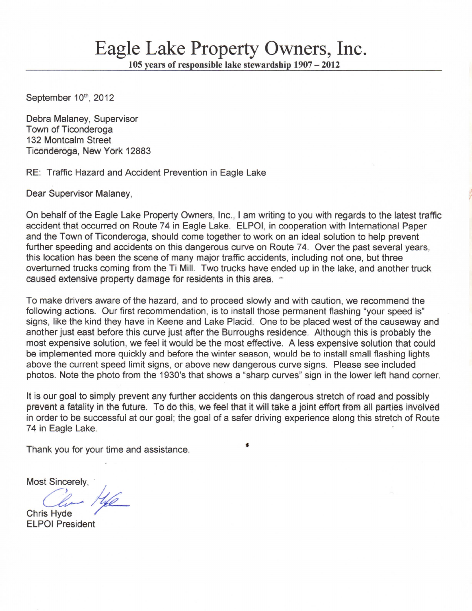## **Eagle Lake Property Owners, Inc.**

105 years of responsible lake stewardship 1907 - 2012

September 10<sup>th</sup>, 2012

Debra Malaney, Supervisor Town of Ticonderoga 132 Montcalm Street Ticonderoga, New York 12883

RE: Traffic Hazard and Accident Prevention in Eagle Lake

Dear Supervisor Malaney,

On behalf of the Eagle Lake Property Owners, Inc., I am writing to you with regards to the latest traffic accident that occurred on Route 74 in Eagle Lake. ELPOI, in cooperation with International Paper and the Town of Ticonderoga, should come together to work on an ideal solution to help prevent further speeding and accidents on this dangerous curve on Route 74. Over the past several years, this location has been the scene of many major traffic accidents, including not one, but three overturned trucks coming from the Ti Mill. Two trucks have ended up in the lake, and another truck eaused extensive property damage for residents in this area.  $\sim$ 

To make drivers aware of the hazard, and to proceed slowly and with caution, we recommend the following actions. Our first recommendation, is to install those permanent flashing "your speed is" signs, like the kind they have in Keene and Lake Placid. One to be placed west of the causeway and another just east before this curve just after the Burroughs residence. Although this is probably the most expensive solution, we feel it would be the most effective. A less expensive solution that could be implemented more quickly and before the winter season, would be to install small flashing lights above the current speed limit signs, or above new dangerous curve signs. Please see included photos. Note the photo from the 1930's that shows a "sharp curves" sign in the lower left hand corner.

It is our goal to simply prevent any further accidents on this dangerous stretch of road and possibly prevent a fatality in the future. To do this, we feel that it will take a joint effort from all parties involved in order to be successful at our goal; the goal of a safer driving experience along this stretch of Route 74 in Eagle Lake.

ś

Thank you for your time and assistance.

Most Sincerely,

Clu Hyle

**Chris Hyde** ELPOI President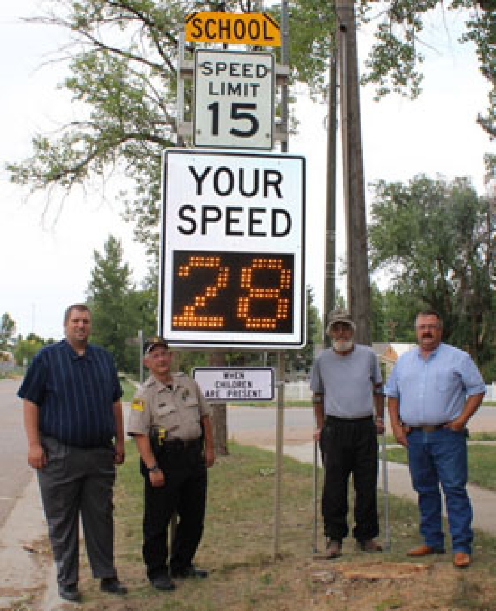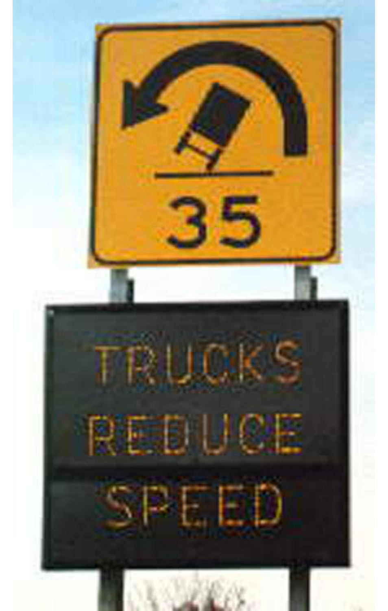